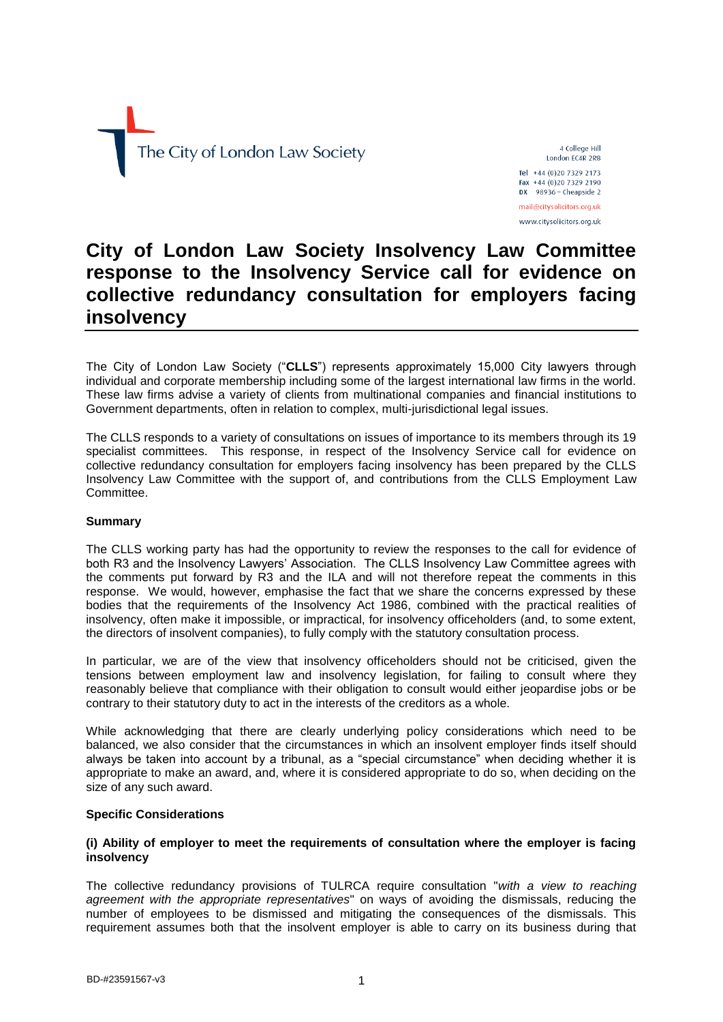

4 College Hill London EC4R 2RB

Tel +44 (0) 20 7329 2173 Fax +44 (0) 20 7329 2190  $DX$  98936 - Cheapside 2 mail@citysolicitors.org.uk

www.citysolicitors.org.uk

# **City of London Law Society Insolvency Law Committee response to the Insolvency Service call for evidence on collective redundancy consultation for employers facing insolvency**

The City of London Law Society ("**CLLS**") represents approximately 15,000 City lawyers through individual and corporate membership including some of the largest international law firms in the world. These law firms advise a variety of clients from multinational companies and financial institutions to Government departments, often in relation to complex, multi-jurisdictional legal issues.

The CLLS responds to a variety of consultations on issues of importance to its members through its 19 specialist committees. This response, in respect of the Insolvency Service call for evidence on collective redundancy consultation for employers facing insolvency has been prepared by the CLLS Insolvency Law Committee with the support of, and contributions from the CLLS Employment Law Committee.

# **Summary**

The CLLS working party has had the opportunity to review the responses to the call for evidence of both R3 and the Insolvency Lawyers' Association. The CLLS Insolvency Law Committee agrees with the comments put forward by R3 and the ILA and will not therefore repeat the comments in this response. We would, however, emphasise the fact that we share the concerns expressed by these bodies that the requirements of the Insolvency Act 1986, combined with the practical realities of insolvency, often make it impossible, or impractical, for insolvency officeholders (and, to some extent, the directors of insolvent companies), to fully comply with the statutory consultation process.

In particular, we are of the view that insolvency officeholders should not be criticised, given the tensions between employment law and insolvency legislation, for failing to consult where they reasonably believe that compliance with their obligation to consult would either jeopardise jobs or be contrary to their statutory duty to act in the interests of the creditors as a whole.

While acknowledging that there are clearly underlying policy considerations which need to be balanced, we also consider that the circumstances in which an insolvent employer finds itself should always be taken into account by a tribunal, as a "special circumstance" when deciding whether it is appropriate to make an award, and, where it is considered appropriate to do so, when deciding on the size of any such award.

#### **Specific Considerations**

#### **(i) Ability of employer to meet the requirements of consultation where the employer is facing insolvency**

The collective redundancy provisions of TULRCA require consultation "*with a view to reaching agreement with the appropriate representatives*" on ways of avoiding the dismissals, reducing the number of employees to be dismissed and mitigating the consequences of the dismissals. This requirement assumes both that the insolvent employer is able to carry on its business during that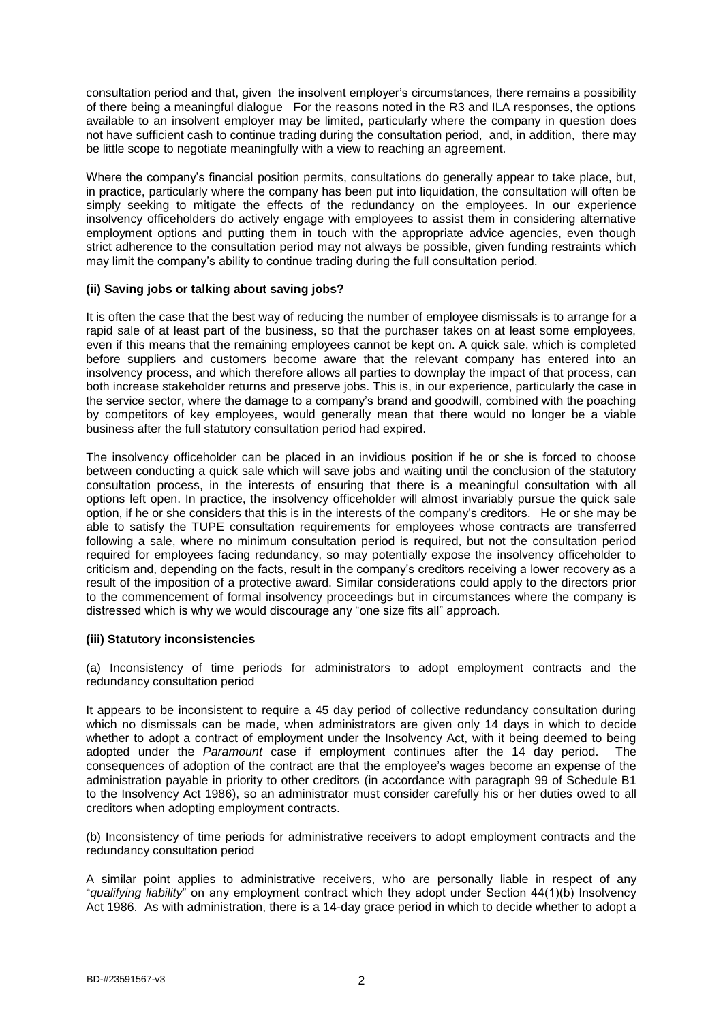consultation period and that, given the insolvent employer's circumstances, there remains a possibility of there being a meaningful dialogue For the reasons noted in the R3 and ILA responses, the options available to an insolvent employer may be limited, particularly where the company in question does not have sufficient cash to continue trading during the consultation period, and, in addition, there may be little scope to negotiate meaningfully with a view to reaching an agreement.

Where the company's financial position permits, consultations do generally appear to take place, but, in practice, particularly where the company has been put into liquidation, the consultation will often be simply seeking to mitigate the effects of the redundancy on the employees. In our experience insolvency officeholders do actively engage with employees to assist them in considering alternative employment options and putting them in touch with the appropriate advice agencies, even though strict adherence to the consultation period may not always be possible, given funding restraints which may limit the company's ability to continue trading during the full consultation period.

#### **(ii) Saving jobs or talking about saving jobs?**

It is often the case that the best way of reducing the number of employee dismissals is to arrange for a rapid sale of at least part of the business, so that the purchaser takes on at least some employees, even if this means that the remaining employees cannot be kept on. A quick sale, which is completed before suppliers and customers become aware that the relevant company has entered into an insolvency process, and which therefore allows all parties to downplay the impact of that process, can both increase stakeholder returns and preserve jobs. This is, in our experience, particularly the case in the service sector, where the damage to a company's brand and goodwill, combined with the poaching by competitors of key employees, would generally mean that there would no longer be a viable business after the full statutory consultation period had expired.

The insolvency officeholder can be placed in an invidious position if he or she is forced to choose between conducting a quick sale which will save jobs and waiting until the conclusion of the statutory consultation process, in the interests of ensuring that there is a meaningful consultation with all options left open. In practice, the insolvency officeholder will almost invariably pursue the quick sale option, if he or she considers that this is in the interests of the company's creditors. He or she may be able to satisfy the TUPE consultation requirements for employees whose contracts are transferred following a sale, where no minimum consultation period is required, but not the consultation period required for employees facing redundancy, so may potentially expose the insolvency officeholder to criticism and, depending on the facts, result in the company's creditors receiving a lower recovery as a result of the imposition of a protective award. Similar considerations could apply to the directors prior to the commencement of formal insolvency proceedings but in circumstances where the company is distressed which is why we would discourage any "one size fits all" approach.

#### **(iii) Statutory inconsistencies**

(a) Inconsistency of time periods for administrators to adopt employment contracts and the redundancy consultation period

It appears to be inconsistent to require a 45 day period of collective redundancy consultation during which no dismissals can be made, when administrators are given only 14 days in which to decide whether to adopt a contract of employment under the Insolvency Act, with it being deemed to being adopted under the *Paramount* case if employment continues after the 14 day period. The consequences of adoption of the contract are that the employee's wages become an expense of the administration payable in priority to other creditors (in accordance with paragraph 99 of Schedule B1 to the Insolvency Act 1986), so an administrator must consider carefully his or her duties owed to all creditors when adopting employment contracts.

(b) Inconsistency of time periods for administrative receivers to adopt employment contracts and the redundancy consultation period

A similar point applies to administrative receivers, who are personally liable in respect of any "*qualifying liability*" on any employment contract which they adopt under Section 44(1)(b) Insolvency Act 1986. As with administration, there is a 14-day grace period in which to decide whether to adopt a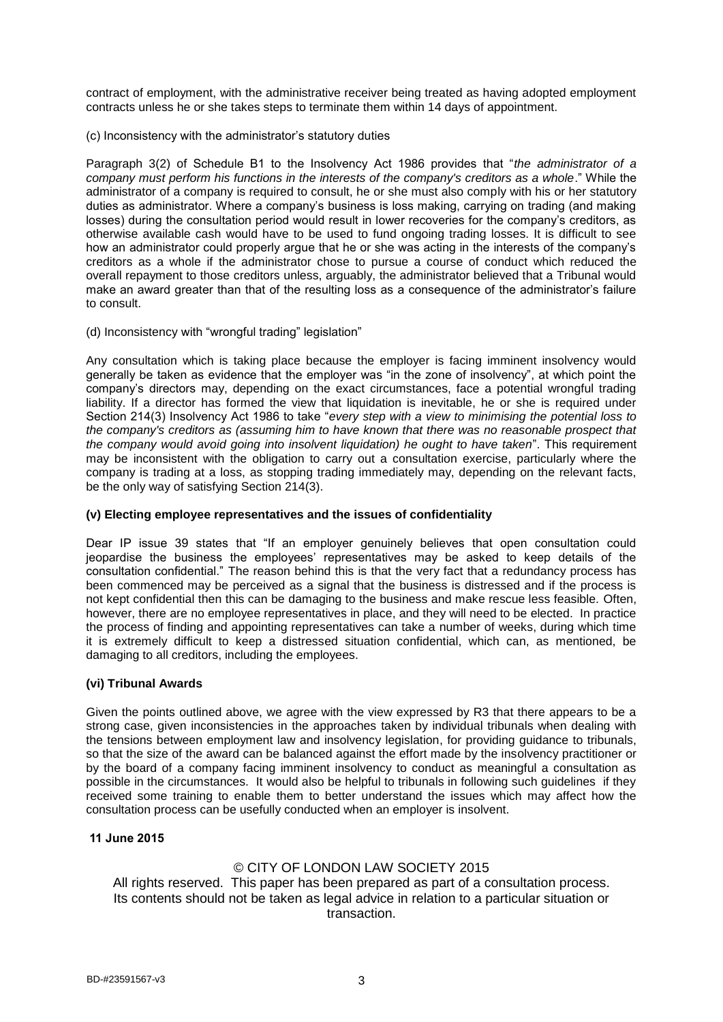contract of employment, with the administrative receiver being treated as having adopted employment contracts unless he or she takes steps to terminate them within 14 days of appointment.

(c) Inconsistency with the administrator's statutory duties

Paragraph 3(2) of Schedule B1 to the Insolvency Act 1986 provides that "*the administrator of a company must perform his functions in the interests of the company's creditors as a whole*." While the administrator of a company is required to consult, he or she must also comply with his or her statutory duties as administrator. Where a company's business is loss making, carrying on trading (and making losses) during the consultation period would result in lower recoveries for the company's creditors, as otherwise available cash would have to be used to fund ongoing trading losses. It is difficult to see how an administrator could properly argue that he or she was acting in the interests of the company's creditors as a whole if the administrator chose to pursue a course of conduct which reduced the overall repayment to those creditors unless, arguably, the administrator believed that a Tribunal would make an award greater than that of the resulting loss as a consequence of the administrator's failure to consult.

(d) Inconsistency with "wrongful trading" legislation"

Any consultation which is taking place because the employer is facing imminent insolvency would generally be taken as evidence that the employer was "in the zone of insolvency", at which point the company's directors may, depending on the exact circumstances, face a potential wrongful trading liability. If a director has formed the view that liquidation is inevitable, he or she is required under Section 214(3) Insolvency Act 1986 to take "*every step with a view to minimising the potential loss to the company's creditors as (assuming him to have known that there was no reasonable prospect that the company would avoid going into insolvent liquidation) he ought to have taken*". This requirement may be inconsistent with the obligation to carry out a consultation exercise, particularly where the company is trading at a loss, as stopping trading immediately may, depending on the relevant facts, be the only way of satisfying Section 214(3).

#### **(v) Electing employee representatives and the issues of confidentiality**

Dear IP issue 39 states that "If an employer genuinely believes that open consultation could jeopardise the business the employees' representatives may be asked to keep details of the consultation confidential." The reason behind this is that the very fact that a redundancy process has been commenced may be perceived as a signal that the business is distressed and if the process is not kept confidential then this can be damaging to the business and make rescue less feasible. Often, however, there are no employee representatives in place, and they will need to be elected. In practice the process of finding and appointing representatives can take a number of weeks, during which time it is extremely difficult to keep a distressed situation confidential, which can, as mentioned, be damaging to all creditors, including the employees.

# **(vi) Tribunal Awards**

Given the points outlined above, we agree with the view expressed by R3 that there appears to be a strong case, given inconsistencies in the approaches taken by individual tribunals when dealing with the tensions between employment law and insolvency legislation, for providing guidance to tribunals, so that the size of the award can be balanced against the effort made by the insolvency practitioner or by the board of a company facing imminent insolvency to conduct as meaningful a consultation as possible in the circumstances. It would also be helpful to tribunals in following such guidelines if they received some training to enable them to better understand the issues which may affect how the consultation process can be usefully conducted when an employer is insolvent.

# **11 June 2015**

# © CITY OF LONDON LAW SOCIETY 2015

All rights reserved. This paper has been prepared as part of a consultation process. Its contents should not be taken as legal advice in relation to a particular situation or transaction.